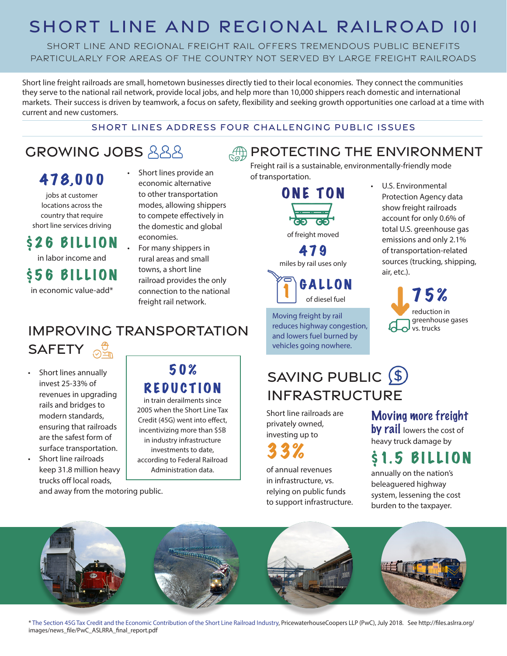## SHORT LINE AND REGIONAL RAILROAD 101

SHORT LINE AND REGIONAL FREIGHT RAIL OFFERS TREMENDOUS PUBLIC BENEFITS particularly for AREAS OF THE COUNTRY NOT SERVED BY LARGE FREIGHT RAILROADs

Short line freight railroads are small, hometown businesses directly tied to their local economies. They connect the communities they serve to the national rail network, provide local jobs, and help more than 10,000 shippers reach domestic and international markets. Their success is driven by teamwork, a focus on safety, flexibility and seeking growth opportunities one carload at a time with current and new customers.

#### SHORT LINES ADDRESS FOUR CHALLENGING PUBLIC ISSUES

## **GROWING JOBS 888**

### 4 7 8,0 0 0

jobs at customer locations across the country that require short line services driving

### \$26 BILLION

in labor income and

\$56 BILLION

in economic value-add\*

#### • Short lines provide an economic alternative to other transportation modes, allowing shippers to compete effectively in the domestic and global economies.

• For many shippers in rural areas and small towns, a short line railroad provides the only connection to the national freight rail network.

### IMPROVING TRANSPORTATION **SAFETY**

Short lines annually invest 25-33% of revenues in upgrading rails and bridges to modern standards, ensuring that railroads are the safest form of surface transportation.

• Short line railroads keep 31.8 million heavy trucks off local roads, and away from the motoring public.

### 50% REDUCTION

in train derailments since 2005 when the Short Line Tax Credit (45G) went into effect, incentivizing more than \$5B in industry infrastructure investments to date, according to Federal Railroad Administration data.

Freight rail is a sustainable, environmentally-friendly mode of transportation.

**AND PROTECTING THE ENVIRONMENT** 





Moving freight by rail reduces highway congestion, and lowers fuel burned by vehicles going nowhere.

## SAVING PUBLIC (\$) INFRASTRUCTURE

Short line railroads are privately owned, investing up to

# 33%

of annual revenues in infrastructure, vs. relying on public funds to support infrastructure. • U.S. Environmental Protection Agency data show freight railroads account for only 0.6% of total U.S. greenhouse gas emissions and only 2.1% of transportation-related sources (trucking, shipping, air, etc.).



Moving more freight by rail lowers the cost of

heavy truck damage by

# **1.5 BILLION**

annually on the nation's beleaguered highway system, lessening the cost burden to the taxpayer.



\* The Section 45G Tax Credit and the Economic Contribution of the Short Line Railroad Industry, PricewaterhouseCoopers LLP (PwC), July 2018. See http://files.aslrra.org/ images/news\_file/PwC\_ASLRRA\_final\_report.pdf